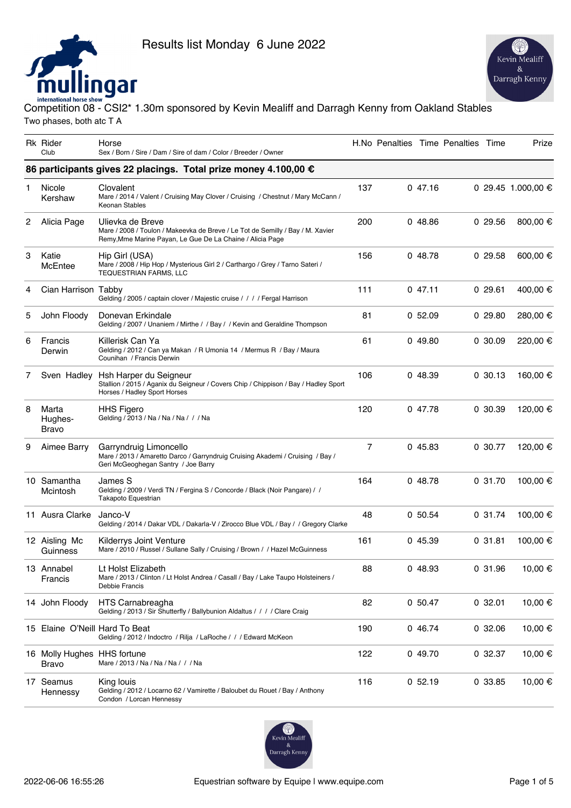



|   | Rk Rider<br>Club                 | Horse<br>Sex / Born / Sire / Dam / Sire of dam / Color / Breeder / Owner                                                                                        |                |          | H.No Penalties Time Penalties Time |         | Prize              |
|---|----------------------------------|-----------------------------------------------------------------------------------------------------------------------------------------------------------------|----------------|----------|------------------------------------|---------|--------------------|
|   |                                  | 86 participants gives 22 placings. Total prize money 4.100,00 €                                                                                                 |                |          |                                    |         |                    |
| 1 | Nicole<br>Kershaw                | Clovalent<br>Mare / 2014 / Valent / Cruising May Clover / Cruising / Chestnut / Mary McCann /<br>Keonan Stables                                                 | 137            | 047.16   |                                    |         | 0 29.45 1.000,00 € |
| 2 | Alicia Page                      | Ulievka de Breve<br>Mare / 2008 / Toulon / Makeevka de Breve / Le Tot de Semilly / Bay / M. Xavier<br>Remy, Mme Marine Payan, Le Gue De La Chaine / Alicia Page | 200            | 048.86   |                                    | 029.56  | 800,00 €           |
| 3 | Katie<br>McEntee                 | Hip Girl (USA)<br>Mare / 2008 / Hip Hop / Mysterious Girl 2 / Carthargo / Grey / Tarno Sateri /<br>TEQUESTRIAN FARMS, LLC                                       | 156            | 048.78   |                                    | 029.58  | 600,00 €           |
| 4 | Cian Harrison Tabby              | Gelding / 2005 / captain clover / Majestic cruise / / / / Fergal Harrison                                                                                       | 111            | 047.11   |                                    | 029.61  | 400,00 €           |
| 5 | John Floody                      | Donevan Erkindale<br>Gelding / 2007 / Unaniem / Mirthe / / Bay / / Kevin and Geraldine Thompson                                                                 | 81             | 0,52.09  |                                    | 029.80  | 280,00 €           |
| 6 | Francis<br>Derwin                | Killerisk Can Ya<br>Gelding / 2012 / Can ya Makan / R Umonia 14 / Mermus R / Bay / Maura<br>Counihan / Francis Derwin                                           | 61             | 049.80   |                                    | 0.30.09 | 220,00 €           |
| 7 | Sven Hadley                      | Hsh Harper du Seigneur<br>Stallion / 2015 / Aganix du Seigneur / Covers Chip / Chippison / Bay / Hadley Sport<br>Horses / Hadley Sport Horses                   | 106            | 048.39   |                                    | 0.30.13 | 160,00 €           |
| 8 | Marta<br>Hughes-<br><b>Bravo</b> | <b>HHS Figero</b><br>Gelding / 2013 / Na / Na / Na / / / Na                                                                                                     | 120            | 047.78   |                                    | 0 30.39 | 120,00 €           |
| 9 | Aimee Barry                      | Garryndruig Limoncello<br>Mare / 2013 / Amaretto Darco / Garryndruig Cruising Akademi / Cruising / Bay /<br>Geri McGeoghegan Santry / Joe Barry                 | $\overline{7}$ | 045.83   |                                    | 0 30.77 | 120,00 €           |
|   | 10 Samantha<br>Mcintosh          | James S<br>Gelding / 2009 / Verdi TN / Fergina S / Concorde / Black (Noir Pangare) / /<br>Takapoto Equestrian                                                   | 164            | 048.78   |                                    | 0.31.70 | 100,00 €           |
|   | 11 Ausra Clarke                  | Janco-V<br>Gelding / 2014 / Dakar VDL / Dakarla-V / Zirocco Blue VDL / Bay / / Gregory Clarke                                                                   | 48             | 0, 50.54 |                                    | 0.31.74 | 100,00 €           |
|   | 12 Aisling Mc<br>Guinness        | <b>Kilderrys Joint Venture</b><br>Mare / 2010 / Russel / Sullane Sally / Cruising / Brown / / Hazel McGuinness                                                  | 161            | 0 45.39  |                                    | 0.31.81 | 100,00 €           |
|   | 13 Annabel<br>Francis            | Lt Holst Elizabeth<br>Mare / 2013 / Clinton / Lt Holst Andrea / Casall / Bay / Lake Taupo Holsteiners /<br>Debbie Francis                                       | 88             | 0 48.93  |                                    | 0 31.96 | 10,00 €            |
|   | 14 John Floody                   | HTS Carnabreagha<br>Gelding / 2013 / Sir Shutterfly / Ballybunion Aldaltus / / / / Clare Craig                                                                  | 82             | 0, 50.47 |                                    | 0.32.01 | 10,00 €            |
|   | 15 Elaine O'Neill Hard To Beat   | Gelding / 2012 / Indoctro / Rilja / LaRoche / / / Edward McKeon                                                                                                 | 190            | 0 46.74  |                                    | 0.32.06 | 10,00 €            |
|   | 16 Molly Hughes<br>Bravo         | <b>HHS</b> fortune<br>Mare / 2013 / Na / Na / Na / / / Na                                                                                                       | 122            | 0 49.70  |                                    | 0 32.37 | 10,00 €            |
|   | 17 Seamus<br>Hennessy            | King louis<br>Gelding / 2012 / Locarno 62 / Vamirette / Baloubet du Rouet / Bay / Anthony<br>Condon / Lorcan Hennessy                                           | 116            | 0, 52.19 |                                    | 0 33.85 | 10,00 €            |

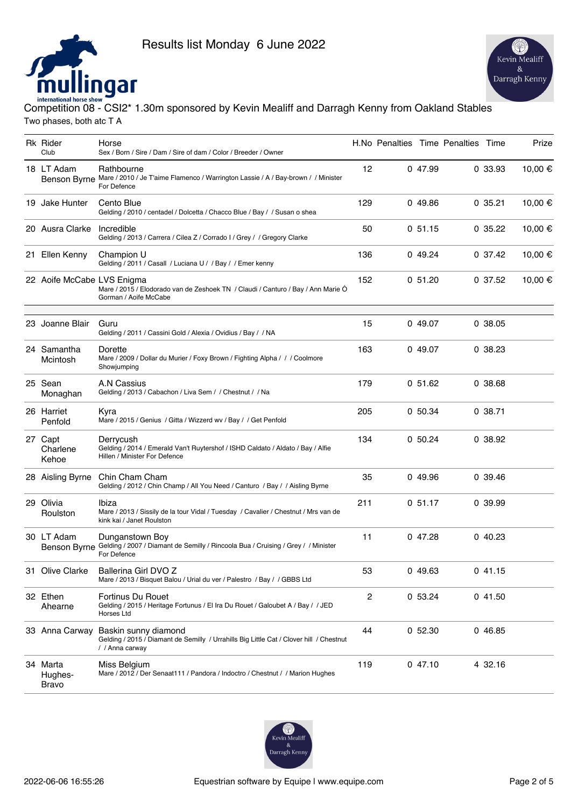



| Rk Rider<br>Club             | Horse<br>Sex / Born / Sire / Dam / Sire of dam / Color / Breeder / Owner                                                           |     |          | H.No Penalties Time Penalties Time |         | Prize   |
|------------------------------|------------------------------------------------------------------------------------------------------------------------------------|-----|----------|------------------------------------|---------|---------|
| 18 LT Adam                   | Rathbourne<br>Benson Byrne Mare / 2010 / Je T'aime Flamenco / Warrington Lassie / A / Bay-brown / / Minister<br>For Defence        | 12  | 0 47.99  |                                    | 0 33.93 | 10,00 € |
| 19 Jake Hunter               | Cento Blue<br>Gelding / 2010 / centadel / Dolcetta / Chacco Blue / Bay / / Susan o shea                                            | 129 | 049.86   |                                    | 0.35.21 | 10,00 € |
| 20 Ausra Clarke              | Incredible<br>Gelding / 2013 / Carrera / Cilea Z / Corrado I / Grey / / Gregory Clarke                                             | 50  | 0, 51.15 |                                    | 0.35.22 | 10,00 € |
| 21 Ellen Kenny               | Champion U<br>Gelding / 2011 / Casall / Luciana U / / Bay / / Emer kenny                                                           | 136 | 0 49.24  |                                    | 0.37.42 | 10,00 € |
| 22 Aoife McCabe LVS Enigma   | Mare / 2015 / Elodorado van de Zeshoek TN / Claudi / Canturo / Bay / Ann Marie O<br>Gorman / Aoife McCabe                          | 152 | 0, 51.20 |                                    | 0 37.52 | 10,00 € |
| 23 Joanne Blair              | Guru<br>Gelding / 2011 / Cassini Gold / Alexia / Ovidius / Bay / / NA                                                              | 15  | 049.07   |                                    | 0 38.05 |         |
| 24 Samantha<br>Mcintosh      | Dorette<br>Mare / 2009 / Dollar du Murier / Foxy Brown / Fighting Alpha / / / Coolmore<br>Showjumping                              | 163 | 0 49.07  |                                    | 0 38.23 |         |
| 25 Sean<br>Monaghan          | A.N Cassius<br>Gelding / 2013 / Cabachon / Liva Sem / / Chestnut / / Na                                                            | 179 | 0, 51.62 |                                    | 0.38.68 |         |
| 26 Harriet<br>Penfold        | Kvra<br>Mare / 2015 / Genius / Gitta / Wizzerd wv / Bay / / Get Penfold                                                            | 205 | 0 50.34  |                                    | 0.38.71 |         |
| 27 Capt<br>Charlene<br>Kehoe | Derrycush<br>Gelding / 2014 / Emerald Van't Ruytershof / ISHD Caldato / Aldato / Bay / Alfie<br>Hillen / Minister For Defence      | 134 | 0.50.24  |                                    | 0 38.92 |         |
| 28 Aisling Byrne             | Chin Cham Cham<br>Gelding / 2012 / Chin Champ / All You Need / Canturo / Bay / / Aisling Byrne                                     | 35  | 049.96   |                                    | 0.39.46 |         |
| 29 Olivia<br>Roulston        | Ibiza<br>Mare / 2013 / Sissily de la tour Vidal / Tuesday / Cavalier / Chestnut / Mrs van de<br>kink kai / Janet Roulston          | 211 | 0, 51.17 |                                    | 0 39.99 |         |
| 30 LT Adam<br>Benson Byrne   | Dunganstown Boy<br>Gelding / 2007 / Diamant de Semilly / Rincoola Bua / Cruising / Grey / / Minister<br>For Defence                | 11  | 047.28   |                                    | 040.23  |         |
| 31 Olive Clarke              | Ballerina Girl DVO Z<br>Mare / 2013 / Bisquet Balou / Urial du ver / Palestro / Bay / / GBBS Ltd                                   | 53  | 049.63   |                                    | 041.15  |         |
| 32 Ethen<br>Ahearne          | Fortinus Du Rouet<br>Gelding / 2015 / Heritage Fortunus / El Ira Du Rouet / Galoubet A / Bay / / JED<br>Horses Ltd                 | 2   | 0 53.24  |                                    | 041.50  |         |
| 33 Anna Carway               | Baskin sunny diamond<br>Gelding / 2015 / Diamant de Semilly / Urrahills Big Little Cat / Clover hill / Chestnut<br>/ / Anna carway | 44  | 0, 52.30 |                                    | 046.85  |         |
| 34 Marta<br>Hughes-<br>Bravo | Miss Belgium<br>Mare / 2012 / Der Senaat111 / Pandora / Indoctro / Chestnut / / Marion Hughes                                      | 119 | 047.10   |                                    | 4 32.16 |         |

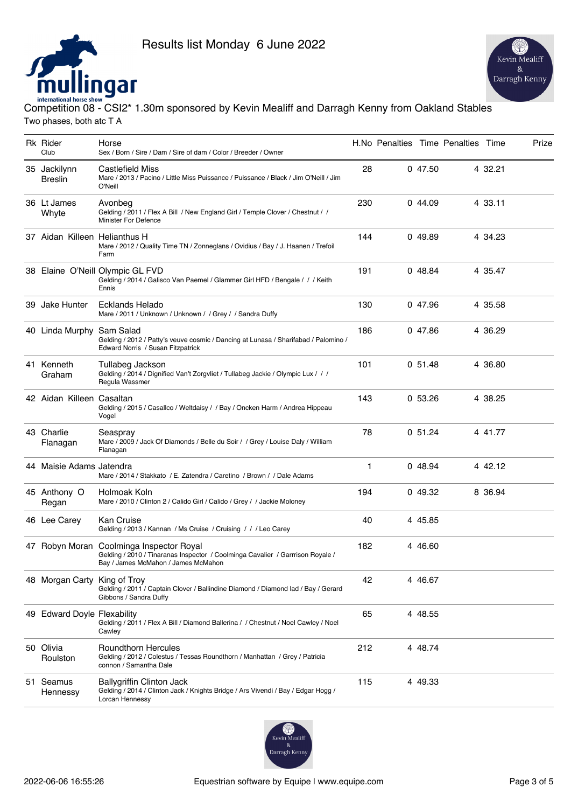



| <b>Rk Rider</b><br>Club        | Horse<br>Sex / Born / Sire / Dam / Sire of dam / Color / Breeder / Owner                                                                                          |     |         | H.No Penalties Time Penalties Time |         | Prize |
|--------------------------------|-------------------------------------------------------------------------------------------------------------------------------------------------------------------|-----|---------|------------------------------------|---------|-------|
| 35 Jackilynn<br><b>Breslin</b> | Castlefield Miss<br>Mare / 2013 / Pacino / Little Miss Puissance / Puissance / Black / Jim O'Neill / Jim<br>O'Neill                                               | 28  | 047.50  |                                    | 4 32.21 |       |
| 36 Lt James<br>Whyte           | Avonbeg<br>Gelding / 2011 / Flex A Bill / New England Girl / Temple Clover / Chestnut / /<br>Minister For Defence                                                 | 230 | 044.09  |                                    | 4 33.11 |       |
| 37 Aidan Killeen Helianthus H  | Mare / 2012 / Quality Time TN / Zonneglans / Ovidius / Bay / J. Haanen / Trefoil<br>Farm                                                                          | 144 | 049.89  |                                    | 4 34.23 |       |
|                                | 38 Elaine O'Neill Olympic GL FVD<br>Gelding / 2014 / Galisco Van Paemel / Glammer Girl HFD / Bengale / / / Keith<br>Ennis                                         | 191 | 048.84  |                                    | 4 35.47 |       |
| 39 Jake Hunter                 | Ecklands Helado<br>Mare / 2011 / Unknown / Unknown / / Grey / / Sandra Duffy                                                                                      | 130 | 0 47.96 |                                    | 4 35.58 |       |
| 40 Linda Murphy                | Sam Salad<br>Gelding / 2012 / Patty's veuve cosmic / Dancing at Lunasa / Sharifabad / Palomino /<br>Edward Norris / Susan Fitzpatrick                             | 186 | 0 47.86 |                                    | 4 36.29 |       |
| 41 Kenneth<br>Graham           | Tullabeg Jackson<br>Gelding / 2014 / Dignified Van't Zorgvliet / Tullabeg Jackie / Olympic Lux / / /<br>Regula Wassmer                                            | 101 | 0.51.48 |                                    | 4 36.80 |       |
| 42 Aidan Killeen Casaltan      | Gelding / 2015 / Casallco / Weltdaisy / / Bay / Oncken Harm / Andrea Hippeau<br>Vogel                                                                             | 143 | 0 53.26 |                                    | 4 38.25 |       |
| 43 Charlie<br>Flanagan         | Seaspray<br>Mare / 2009 / Jack Of Diamonds / Belle du Soir / / Grey / Louise Daly / William<br>Flanagan                                                           | 78  | 0.51.24 |                                    | 4 41.77 |       |
| 44 Maisie Adams Jatendra       | Mare / 2014 / Stakkato / E. Zatendra / Caretino / Brown / / Dale Adams                                                                                            | 1   | 048.94  |                                    | 4 42.12 |       |
| 45 Anthony O<br>Regan          | Holmoak Koln<br>Mare / 2010 / Clinton 2 / Calido Girl / Calido / Grey / / Jackie Moloney                                                                          | 194 | 0 49.32 |                                    | 8 36.94 |       |
| 46 Lee Carey                   | Kan Cruise<br>Gelding / 2013 / Kannan / Ms Cruise / Cruising / / / Leo Carey                                                                                      | 40  | 4 45.85 |                                    |         |       |
|                                | 47 Robyn Moran Coolminga Inspector Royal<br>Gelding / 2010 / Tinaranas Inspector / Coolminga Cavalier / Garrrison Royale /<br>Bay / James McMahon / James McMahon | 182 | 4 46.60 |                                    |         |       |
| 48 Morgan Carty King of Troy   | Gelding / 2011 / Captain Clover / Ballindine Diamond / Diamond lad / Bay / Gerard<br>Gibbons / Sandra Duffy                                                       | 42  | 4 46.67 |                                    |         |       |
| 49 Edward Doyle Flexability    | Gelding / 2011 / Flex A Bill / Diamond Ballerina / / Chestnut / Noel Cawley / Noel<br>Cawley                                                                      | 65  | 4 48.55 |                                    |         |       |
| 50 Olivia<br>Roulston          | Roundthorn Hercules<br>Gelding / 2012 / Colestus / Tessas Roundthorn / Manhattan / Grey / Patricia<br>connon / Samantha Dale                                      | 212 | 4 48.74 |                                    |         |       |
| 51 Seamus<br>Hennessy          | <b>Ballygriffin Clinton Jack</b><br>Gelding / 2014 / Clinton Jack / Knights Bridge / Ars Vivendi / Bay / Edgar Hogg /<br>Lorcan Hennessy                          | 115 | 4 49.33 |                                    |         |       |

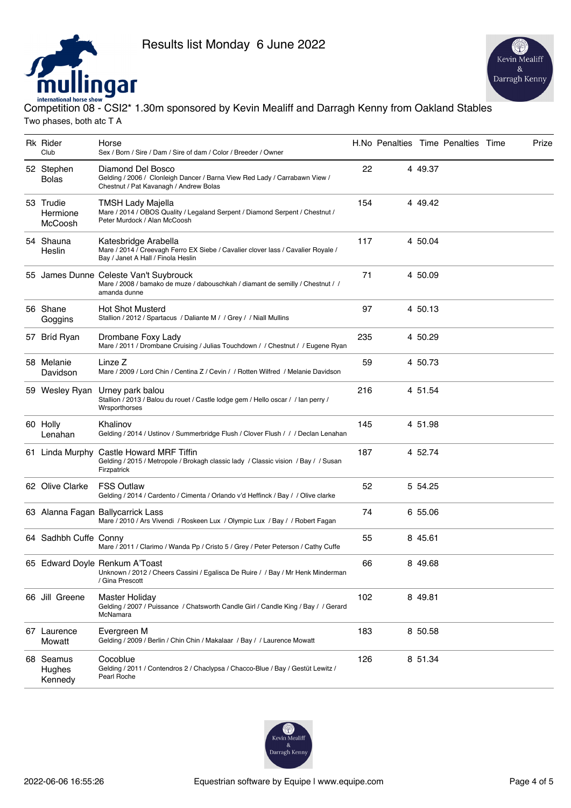



| Rk Rider<br>Club                 | Horse<br>Sex / Born / Sire / Dam / Sire of dam / Color / Breeder / Owner                                                                       |     |         | H.No Penalties Time Penalties Time | Prize |  |
|----------------------------------|------------------------------------------------------------------------------------------------------------------------------------------------|-----|---------|------------------------------------|-------|--|
| 52 Stephen<br><b>Bolas</b>       | Diamond Del Bosco<br>Gelding / 2006 / Clonleigh Dancer / Barna View Red Lady / Carrabawn View /<br>Chestnut / Pat Kavanagh / Andrew Bolas      | 22  | 4 49.37 |                                    |       |  |
| 53 Trudie<br>Hermione<br>McCoosh | TMSH Lady Majella<br>Mare / 2014 / OBOS Quality / Legaland Serpent / Diamond Serpent / Chestnut /<br>Peter Murdock / Alan McCoosh              | 154 | 4 49.42 |                                    |       |  |
| 54 Shauna<br>Heslin              | Katesbridge Arabella<br>Mare / 2014 / Creevagh Ferro EX Siebe / Cavalier clover lass / Cavalier Royale /<br>Bay / Janet A Hall / Finola Heslin | 117 | 4 50.04 |                                    |       |  |
|                                  | 55 James Dunne Celeste Van't Suybrouck<br>Mare / 2008 / bamako de muze / dabouschkah / diamant de semilly / Chestnut / /<br>amanda dunne       | 71  | 4 50.09 |                                    |       |  |
| 56 Shane<br>Goggins              | <b>Hot Shot Musterd</b><br>Stallion / 2012 / Spartacus / Daliante M / / Grey / / Niall Mullins                                                 | 97  | 4 50.13 |                                    |       |  |
| 57 Bríd Ryan                     | Drombane Foxy Lady<br>Mare / 2011 / Drombane Cruising / Julias Touchdown / / Chestnut / / Eugene Ryan                                          | 235 | 4 50.29 |                                    |       |  |
| 58 Melanie<br>Davidson           | Linze Z<br>Mare / 2009 / Lord Chin / Centina Z / Cevin / / Rotten Wilfred / Melanie Davidson                                                   | 59  | 4 50.73 |                                    |       |  |
| 59 Wesley Ryan                   | Urney park balou<br>Stallion / 2013 / Balou du rouet / Castle lodge gem / Hello oscar / / lan perry /<br>Wrsporthorses                         | 216 | 4 51.54 |                                    |       |  |
| 60 Holly<br>Lenahan              | Khalinov<br>Gelding / 2014 / Ustinov / Summerbridge Flush / Clover Flush / / / Declan Lenahan                                                  | 145 | 4 51.98 |                                    |       |  |
| 61 Linda Murphy                  | Castle Howard MRF Tiffin<br>Gelding / 2015 / Metropole / Brokagh classic lady / Classic vision / Bay / / Susan<br>Firzpatrick                  | 187 | 4 52.74 |                                    |       |  |
| 62 Olive Clarke                  | <b>FSS Outlaw</b><br>Gelding / 2014 / Cardento / Cimenta / Orlando v'd Heffinck / Bay / / Olive clarke                                         | 52  | 5 54.25 |                                    |       |  |
|                                  | 63 Alanna Fagan Ballycarrick Lass<br>Mare / 2010 / Ars Vivendi / Roskeen Lux / Olympic Lux / Bay / / Robert Fagan                              | 74  | 6 55.06 |                                    |       |  |
| 64 Sadhbh Cuffe Conny            | Mare / 2011 / Clarimo / Wanda Pp / Cristo 5 / Grey / Peter Peterson / Cathy Cuffe                                                              | 55  | 8 45.61 |                                    |       |  |
|                                  | 65 Edward Doyle Renkum A'Toast<br>Unknown / 2012 / Cheers Cassini / Egalisca De Ruire / / Bay / Mr Henk Minderman<br>/ Gina Prescott           | 66  | 8 49.68 |                                    |       |  |
| 66 Jill Greene                   | Master Holiday<br>Gelding / 2007 / Puissance / Chatsworth Candle Girl / Candle King / Bay / / Gerard<br>McNamara                               | 102 | 8 49.81 |                                    |       |  |
| 67 Laurence<br>Mowatt            | Evergreen M<br>Gelding / 2009 / Berlin / Chin Chin / Makalaar / Bay / / Laurence Mowatt                                                        | 183 | 8 50.58 |                                    |       |  |
| 68 Seamus<br>Hughes<br>Kennedy   | Cocoblue<br>Gelding / 2011 / Contendros 2 / Chaclypsa / Chacco-Blue / Bay / Gestüt Lewitz /<br>Pearl Roche                                     | 126 | 8 51.34 |                                    |       |  |